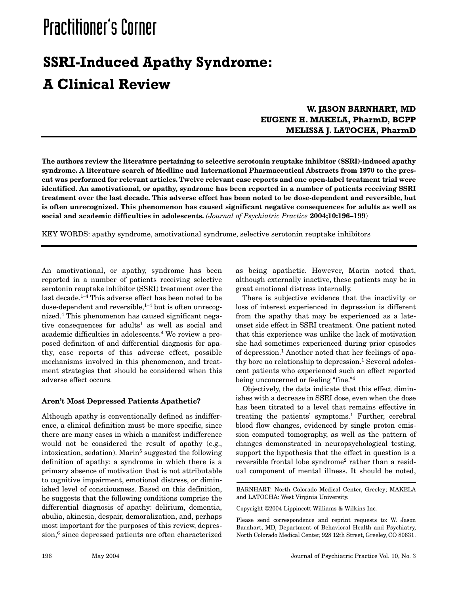# Practitioner's Corner

## **SSRI-Induced Apathy Syndrome: A Clinical Review**

### **W. JASON BARNHART, MD EUGENE H. MAKELA, PharmD, BCPP MELISSA J. LATOCHA, PharmD**

**The authors review the literature pertaining to selective serotonin reuptake inhibitor (SSRI)-induced apathy syndrome. A literature search of Medline and International Pharmaceutical Abstracts from 1970 to the present was performed for relevant articles. Twelve relevant case reports and one open-label treatment trial were identified. An amotivational, or apathy, syndrome has been reported in a number of patients receiving SSRI treatment over the last decade. This adverse effect has been noted to be dose-dependent and reversible, but is often unrecognized. This phenomenon has caused significant negative consequences for adults as well as social and academic difficulties in adolescents.** *(Journal of Psychiatric Practice* **2004;10:196–199**)

KEY WORDS: apathy syndrome, amotivational syndrome, selective serotonin reuptake inhibitors

An amotivational, or apathy, syndrome has been reported in a number of patients receiving selective serotonin reuptake inhibitor (SSRI) treatment over the last decade.1–4 This adverse effect has been noted to be dose-dependent and reversible, $1-4$  but is often unrecognized.4 This phenomenon has caused significant negative consequences for adults<sup>1</sup> as well as social and academic difficulties in adolescents.4 We review a proposed definition of and differential diagnosis for apathy, case reports of this adverse effect, possible mechanisms involved in this phenomenon, and treatment strategies that should be considered when this adverse effect occurs.

#### **Aren't Most Depressed Patients Apathetic?**

Although apathy is conventionally defined as indifference, a clinical definition must be more specific, since there are many cases in which a manifest indifference would not be considered the result of apathy (e.g., intoxication, sedation). Marin<sup>5</sup> suggested the following definition of apathy: a syndrome in which there is a primary absence of motivation that is not attributable to cognitive impairment, emotional distress, or diminished level of consciousness. Based on this definition, he suggests that the following conditions comprise the differential diagnosis of apathy: delirium, dementia, abulia, akinesia, despair, demoralization, and, perhaps most important for the purposes of this review, depression,<sup>6</sup> since depressed patients are often characterized as being apathetic. However, Marin noted that, although externally inactive, these patients may be in great emotional distress internally.

There is subjective evidence that the inactivity or loss of interest experienced in depression is different from the apathy that may be experienced as a lateonset side effect in SSRI treatment. One patient noted that this experience was unlike the lack of motivation she had sometimes experienced during prior episodes of depression.1 Another noted that her feelings of apathy bore no relationship to depression.<sup>1</sup> Several adolescent patients who experienced such an effect reported being unconcerned or feeling "fine."4

Objectively, the data indicate that this effect diminishes with a decrease in SSRI dose, even when the dose has been titrated to a level that remains effective in treating the patients' symptoms.<sup>1</sup> Further, cerebral blood flow changes, evidenced by single proton emission computed tomography, as well as the pattern of changes demonstrated in neuropsychological testing, support the hypothesis that the effect in question is a reversible frontal lobe syndrome2 rather than a residual component of mental illness. It should be noted,

BARNHART: North Colorado Medical Center, Greeley; MAKELA and LATOCHA: West Virginia University.

Copyright ©2004 Lippincott Williams & Wilkins Inc.

Please send correspondence and reprint requests to: W. Jason Barnhart, MD, Department of Behavioral Health and Psychiatry, North Colorado Medical Center, 928 12th Street, Greeley, CO 80631.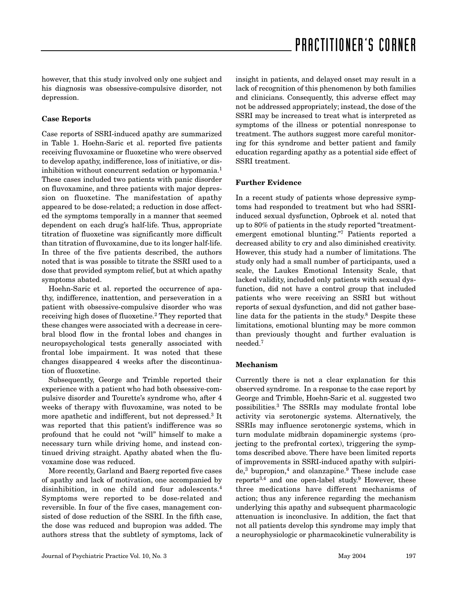however, that this study involved only one subject and his diagnosis was obsessive-compulsive disorder, not depression.

#### **Case Reports**

Case reports of SSRI-induced apathy are summarized in Table 1. Hoehn-Saric et al. reported five patients receiving fluvoxamine or fluoxetine who were observed to develop apathy, indifference, loss of initiative, or disinhibition without concurrent sedation or hypomania.<sup>1</sup> These cases included two patients with panic disorder on fluvoxamine, and three patients with major depression on fluoxetine. The manifestation of apathy appeared to be dose-related; a reduction in dose affected the symptoms temporally in a manner that seemed dependent on each drug's half-life. Thus, appropriate titration of fluoxetine was significantly more difficult than titration of fluvoxamine, due to its longer half-life. In three of the five patients described, the authors noted that is was possible to titrate the SSRI used to a dose that provided symptom relief, but at which apathy symptoms abated.

Hoehn-Saric et al. reported the occurrence of apathy, indifference, inattention, and perseveration in a patient with obsessive-compulsive disorder who was receiving high doses of fluoxetine.2 They reported that these changes were associated with a decrease in cerebral blood flow in the frontal lobes and changes in neuropsychological tests generally associated with frontal lobe impairment. It was noted that these changes disappeared 4 weeks after the discontinuation of fluoxetine.

Subsequently, George and Trimble reported their experience with a patient who had both obsessive-compulsive disorder and Tourette's syndrome who, after 4 weeks of therapy with fluvoxamine, was noted to be more apathetic and indifferent, but not depressed.3 It was reported that this patient's indifference was so profound that he could not "will" himself to make a necessary turn while driving home, and instead continued driving straight. Apathy abated when the fluvoxamine dose was reduced.

More recently, Garland and Baerg reported five cases of apathy and lack of motivation, one accompanied by disinhibition, in one child and four adolescents.4 Symptoms were reported to be dose-related and reversible. In four of the five cases, management consisted of dose reduction of the SSRI. In the fifth case, the dose was reduced and bupropion was added. The authors stress that the subtlety of symptoms, lack of insight in patients, and delayed onset may result in a lack of recognition of this phenomenon by both families and clinicians. Consequently, this adverse effect may not be addressed appropriately; instead, the dose of the SSRI may be increased to treat what is interpreted as symptoms of the illness or potential nonresponse to treatment. The authors suggest more careful monitoring for this syndrome and better patient and family education regarding apathy as a potential side effect of SSRI treatment.

#### **Further Evidence**

In a recent study of patients whose depressive symptoms had responded to treatment but who had SSRIinduced sexual dysfunction, Opbroek et al. noted that up to 80% of patients in the study reported "treatmentemergent emotional blunting."7 Patients reported a decreased ability to cry and also diminished creativity. However, this study had a number of limitations. The study only had a small number of participants, used a scale, the Laukes Emotional Intensity Scale, that lacked validity, included only patients with sexual dysfunction, did not have a control group that included patients who were receiving an SSRI but without reports of sexual dysfunction, and did not gather baseline data for the patients in the study.8 Despite these limitations, emotional blunting may be more common than previously thought and further evaluation is needed.7

#### **Mechanism**

Currently there is not a clear explanation for this observed syndrome. In a response to the case report by George and Trimble, Hoehn-Saric et al. suggested two possibilities.3 The SSRIs may modulate frontal lobe activity via serotonergic systems. Alternatively, the SSRIs may influence serotonergic systems, which in turn modulate midbrain dopaminergic systems (projecting to the prefrontal cortex), triggering the symptoms described above. There have been limited reports of improvements in SSRI-induced apathy with sulpiride,3 bupropion,4 and olanzapine.9 These include case reports3,4 and one open-label study.9 However, these three medications have different mechanisms of action; thus any inference regarding the mechanism underlying this apathy and subsequent pharmacologic attenuation is inconclusive. In addition, the fact that not all patients develop this syndrome may imply that a neurophysiologic or pharmacokinetic vulnerability is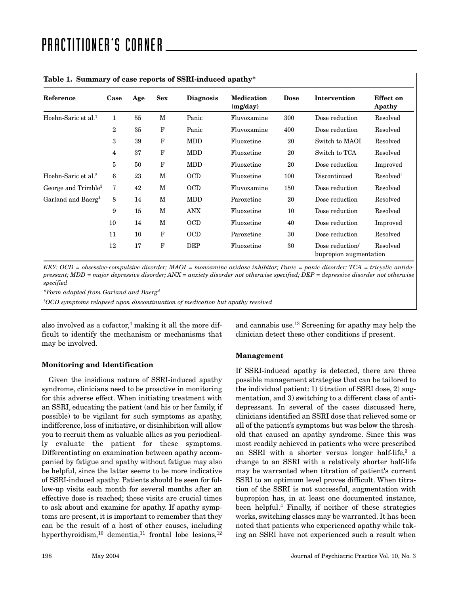| Reference                       | Case           | Age | <b>Sex</b>  | <b>Diagnosis</b> | <b>Medication</b><br>(mg/day) | <b>Dose</b> | Intervention                              | Effect on<br>Apathy   |
|---------------------------------|----------------|-----|-------------|------------------|-------------------------------|-------------|-------------------------------------------|-----------------------|
| Hoehn-Saric et al. <sup>1</sup> | $\mathbf{1}$   | 55  | M           | Panic            | Fluvoxamine                   | 300         | Dose reduction                            | Resolved              |
|                                 | $\overline{2}$ | 35  | $\mathbf F$ | Panic            | Fluvoxamine                   | 400         | Dose reduction                            | Resolved              |
|                                 | 3              | 39  | $\mathbf F$ | <b>MDD</b>       | Fluoxetine                    | 20          | Switch to MAOI                            | Resolved              |
|                                 | 4              | 37  | $\mathbf F$ | <b>MDD</b>       | Fluoxetine                    | 20          | Switch to TCA                             | Resolved              |
|                                 | 5              | 50  | F           | <b>MDD</b>       | Fluoxetine                    | 20          | Dose reduction                            | Improved              |
| Hoehn-Saric et al. <sup>2</sup> | 6              | 23  | M           | <b>OCD</b>       | Fluoxetine                    | 100         | Discontinued                              | Resolved <sup>†</sup> |
| George and Trimble <sup>3</sup> | 7              | 42  | M           | <b>OCD</b>       | Fluvoxamine                   | 150         | Dose reduction                            | Resolved              |
| Garland and Baerg <sup>4</sup>  | 8              | 14  | M           | <b>MDD</b>       | Paroxetine                    | 20          | Dose reduction                            | Resolved              |
|                                 | 9              | 15  | M           | <b>ANX</b>       | Fluoxetine                    | 10          | Dose reduction                            | Resolved              |
|                                 | 10             | 14  | M           | <b>OCD</b>       | Fluoxetine                    | 40          | Dose reduction                            | Improved              |
|                                 | 11             | 10  | $\mathbf F$ | <b>OCD</b>       | Paroxetine                    | 30          | Dose reduction                            | Resolved              |
|                                 | 12             | 17  | F           | <b>DEP</b>       | Fluoxetine                    | 30          | Dose reduction/<br>bupropion augmentation | Resolved              |

KEY: OCD = obsessive-compulsive disorder; MAOI = monoamine oxidase inhibitor; Panic = panic disorder; TCA = tricyclic antide*pressant; MDD = major depressive disorder; ANX = anxiety disorder not otherwise specified; DEP = depressive disorder not otherwise specified*

*\*Form adapted from Garland and Baerg4*

*†OCD symptoms relapsed upon discontinuation of medication but apathy resolved*

also involved as a cofactor, $4$  making it all the more difficult to identify the mechanism or mechanisms that may be involved.

and cannabis use.13 Screening for apathy may help the clinician detect these other conditions if present.

#### **Monitoring and Identification**

Given the insidious nature of SSRI-induced apathy syndrome, clinicians need to be proactive in monitoring for this adverse effect. When initiating treatment with an SSRI, educating the patient (and his or her family, if possible) to be vigilant for such symptoms as apathy, indifference, loss of initiative, or disinhibition will allow you to recruit them as valuable allies as you periodically evaluate the patient for these symptoms. Differentiating on examination between apathy accompanied by fatigue and apathy without fatigue may also be helpful, since the latter seems to be more indicative of SSRI-induced apathy. Patients should be seen for follow-up visits each month for several months after an effective dose is reached; these visits are crucial times to ask about and examine for apathy. If apathy symptoms are present, it is important to remember that they can be the result of a host of other causes, including hyperthyroidism,<sup>10</sup> dementia,<sup>11</sup> frontal lobe lesions,<sup>12</sup>

#### **Management**

If SSRI-induced apathy is detected, there are three possible management strategies that can be tailored to the individual patient: 1) titration of SSRI dose, 2) augmentation, and 3) switching to a different class of antidepressant. In several of the cases discussed here, clinicians identified an SSRI dose that relieved some or all of the patient's symptoms but was below the threshold that caused an apathy syndrome. Since this was most readily achieved in patients who were prescribed an SSRI with a shorter versus longer half-life,<sup>3</sup> a change to an SSRI with a relatively shorter half-life may be warranted when titration of patient's current SSRI to an optimum level proves difficult. When titration of the SSRI is not successful, augmentation with bupropion has, in at least one documented instance, been helpful.4 Finally, if neither of these strategies works, switching classes may be warranted. It has been noted that patients who experienced apathy while taking an SSRI have not experienced such a result when